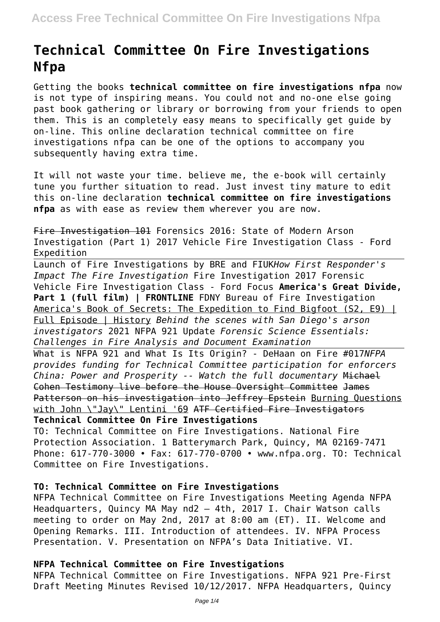# **Technical Committee On Fire Investigations Nfpa**

Getting the books **technical committee on fire investigations nfpa** now is not type of inspiring means. You could not and no-one else going past book gathering or library or borrowing from your friends to open them. This is an completely easy means to specifically get guide by on-line. This online declaration technical committee on fire investigations nfpa can be one of the options to accompany you subsequently having extra time.

It will not waste your time. believe me, the e-book will certainly tune you further situation to read. Just invest tiny mature to edit this on-line declaration **technical committee on fire investigations nfpa** as with ease as review them wherever you are now.

Fire Investigation 101 Forensics 2016: State of Modern Arson Investigation (Part 1) 2017 Vehicle Fire Investigation Class - Ford Expedition

Launch of Fire Investigations by BRE and FIUK*How First Responder's Impact The Fire Investigation* Fire Investigation 2017 Forensic Vehicle Fire Investigation Class - Ford Focus **America's Great Divide,** Part 1 (full film) | FRONTLINE FDNY Bureau of Fire Investigation America's Book of Secrets: The Expedition to Find Bigfoot (S2, E9) | Full Episode | History *Behind the scenes with San Diego's arson investigators* 2021 NFPA 921 Update *Forensic Science Essentials: Challenges in Fire Analysis and Document Examination*

What is NFPA 921 and What Is Its Origin? - DeHaan on Fire #017*NFPA provides funding for Technical Committee participation for enforcers China: Power and Prosperity -- Watch the full documentary* Michael Cohen Testimony live before the House Oversight Committee James Patterson on his investigation into Jeffrey Epstein Burning Questions with John \"Jay\" Lentini '69 ATF Certified Fire Investigators **Technical Committee On Fire Investigations**

TO: Technical Committee on Fire Investigations. National Fire Protection Association. 1 Batterymarch Park, Quincy, MA 02169-7471 Phone: 617-770-3000 • Fax: 617-770-0700 • www.nfpa.org. TO: Technical Committee on Fire Investigations.

# **TO: Technical Committee on Fire Investigations**

NFPA Technical Committee on Fire Investigations Meeting Agenda NFPA Headquarters, Quincy MA May nd2 – 4th, 2017 I. Chair Watson calls meeting to order on May 2nd, 2017 at 8:00 am (ET). II. Welcome and Opening Remarks. III. Introduction of attendees. IV. NFPA Process Presentation. V. Presentation on NFPA's Data Initiative. VI.

# **NFPA Technical Committee on Fire Investigations**

NFPA Technical Committee on Fire Investigations. NFPA 921 Pre-First Draft Meeting Minutes Revised 10/12/2017. NFPA Headquarters, Quincy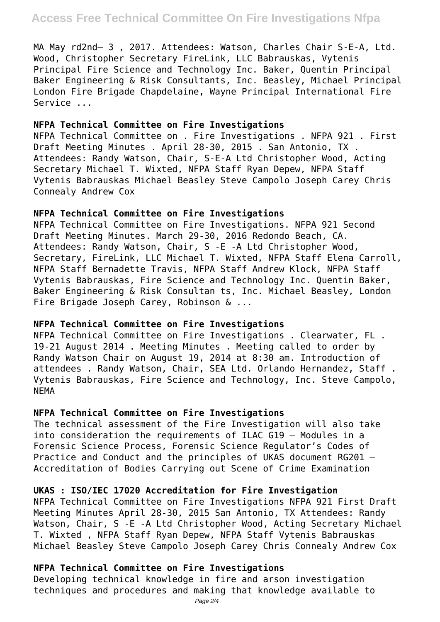MA May rd2nd– 3 , 2017. Attendees: Watson, Charles Chair S-E-A, Ltd. Wood, Christopher Secretary FireLink, LLC Babrauskas, Vytenis Principal Fire Science and Technology Inc. Baker, Quentin Principal Baker Engineering & Risk Consultants, Inc. Beasley, Michael Principal London Fire Brigade Chapdelaine, Wayne Principal International Fire Service ...

#### **NFPA Technical Committee on Fire Investigations**

NFPA Technical Committee on . Fire Investigations . NFPA 921 . First Draft Meeting Minutes . April 28-30, 2015 . San Antonio, TX . Attendees: Randy Watson, Chair, S-E-A Ltd Christopher Wood, Acting Secretary Michael T. Wixted, NFPA Staff Ryan Depew, NFPA Staff Vytenis Babrauskas Michael Beasley Steve Campolo Joseph Carey Chris Connealy Andrew Cox

# **NFPA Technical Committee on Fire Investigations**

NFPA Technical Committee on Fire Investigations. NFPA 921 Second Draft Meeting Minutes. March 29-30, 2016 Redondo Beach, CA. Attendees: Randy Watson, Chair, S -E -A Ltd Christopher Wood, Secretary, FireLink, LLC Michael T. Wixted, NFPA Staff Elena Carroll, NFPA Staff Bernadette Travis, NFPA Staff Andrew Klock, NFPA Staff Vytenis Babrauskas, Fire Science and Technology Inc. Quentin Baker, Baker Engineering & Risk Consultan ts, Inc. Michael Beasley, London Fire Brigade Joseph Carey, Robinson & ...

# **NFPA Technical Committee on Fire Investigations**

NFPA Technical Committee on Fire Investigations . Clearwater, FL . 19-21 August 2014 . Meeting Minutes . Meeting called to order by Randy Watson Chair on August 19, 2014 at 8:30 am. Introduction of attendees . Randy Watson, Chair, SEA Ltd. Orlando Hernandez, Staff . Vytenis Babrauskas, Fire Science and Technology, Inc. Steve Campolo, NEMA

# **NFPA Technical Committee on Fire Investigations**

The technical assessment of the Fire Investigation will also take into consideration the requirements of ILAC G19 – Modules in a Forensic Science Process, Forensic Science Regulator's Codes of Practice and Conduct and the principles of UKAS document RG201 – Accreditation of Bodies Carrying out Scene of Crime Examination

# **UKAS : ISO/IEC 17020 Accreditation for Fire Investigation**

NFPA Technical Committee on Fire Investigations NFPA 921 First Draft Meeting Minutes April 28-30, 2015 San Antonio, TX Attendees: Randy Watson, Chair, S -E -A Ltd Christopher Wood, Acting Secretary Michael T. Wixted , NFPA Staff Ryan Depew, NFPA Staff Vytenis Babrauskas Michael Beasley Steve Campolo Joseph Carey Chris Connealy Andrew Cox

# **NFPA Technical Committee on Fire Investigations**

Developing technical knowledge in fire and arson investigation techniques and procedures and making that knowledge available to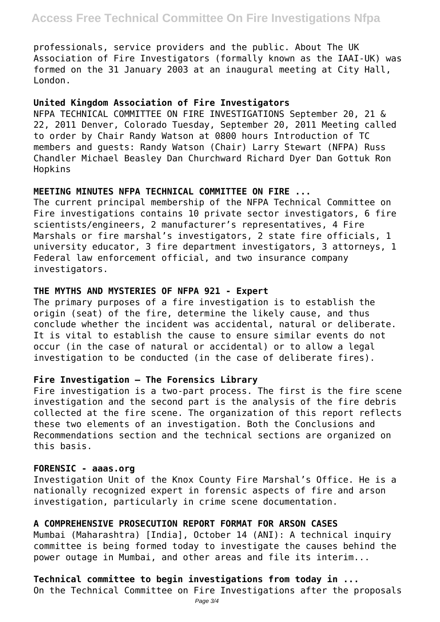professionals, service providers and the public. About The UK Association of Fire Investigators (formally known as the IAAI-UK) was formed on the 31 January 2003 at an inaugural meeting at City Hall, London.

# **United Kingdom Association of Fire Investigators**

NFPA TECHNICAL COMMITTEE ON FIRE INVESTIGATIONS September 20, 21 & 22, 2011 Denver, Colorado Tuesday, September 20, 2011 Meeting called to order by Chair Randy Watson at 0800 hours Introduction of TC members and guests: Randy Watson (Chair) Larry Stewart (NFPA) Russ Chandler Michael Beasley Dan Churchward Richard Dyer Dan Gottuk Ron Hopkins

# **MEETING MINUTES NFPA TECHNICAL COMMITTEE ON FIRE ...**

The current principal membership of the NFPA Technical Committee on Fire investigations contains 10 private sector investigators, 6 fire scientists/engineers, 2 manufacturer's representatives, 4 Fire Marshals or fire marshal's investigators, 2 state fire officials, 1 university educator, 3 fire department investigators, 3 attorneys, 1 Federal law enforcement official, and two insurance company investigators.

#### **THE MYTHS AND MYSTERIES OF NFPA 921 - Expert**

The primary purposes of a fire investigation is to establish the origin (seat) of the fire, determine the likely cause, and thus conclude whether the incident was accidental, natural or deliberate. It is vital to establish the cause to ensure similar events do not occur (in the case of natural or accidental) or to allow a legal investigation to be conducted (in the case of deliberate fires).

#### **Fire Investigation – The Forensics Library**

Fire investigation is a two-part process. The first is the fire scene investigation and the second part is the analysis of the fire debris collected at the fire scene. The organization of this report reflects these two elements of an investigation. Both the Conclusions and Recommendations section and the technical sections are organized on this basis.

#### **FORENSIC - aaas.org**

Investigation Unit of the Knox County Fire Marshal's Office. He is a nationally recognized expert in forensic aspects of fire and arson investigation, particularly in crime scene documentation.

#### **A COMPREHENSIVE PROSECUTION REPORT FORMAT FOR ARSON CASES**

Mumbai (Maharashtra) [India], October 14 (ANI): A technical inquiry committee is being formed today to investigate the causes behind the power outage in Mumbai, and other areas and file its interim...

# **Technical committee to begin investigations from today in ...**

On the Technical Committee on Fire Investigations after the proposals